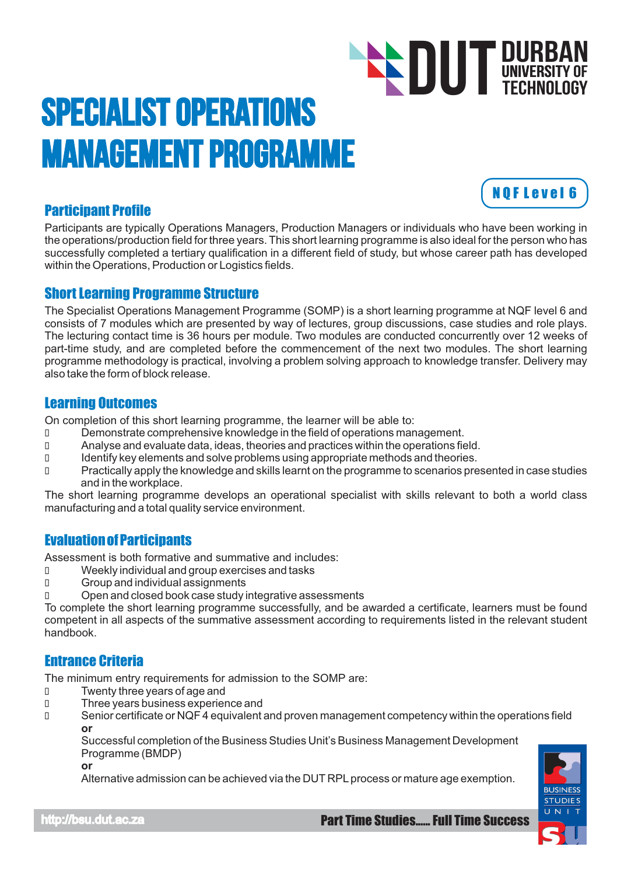# Specialist Operations Management Programme **DUT DURBAN**<br>TECHNOLOGY TECHNOLOGY

# Participant Profile

Participants are typically Operations Managers, Production Managers or individuals who have been working in the operations/production field for three years. This short learning programme is also ideal for the person who has successfully completed a tertiary qualification in a different field of study, but whose career path has developed within the Operations, Production or Logistics fields.

### Short Learning Programme Structure

The Specialist Operations Management Programme (SOMP) is a short learning programme at NQF level 6 and consists of 7 modules which are presented by way of lectures, group discussions, case studies and role plays. The lecturing contact time is 36 hours per module. Two modules are conducted concurrently over 12 weeks of part-time study, and are completed before the commencement of the next two modules. The short learning programme methodology is practical, involving a problem solving approach to knowledge transfer. Delivery may also take the form of block release.

## Learning Outcomes

On completion of this short learning programme, the learner will be able to:

- Demonstrate comprehensive knowledge in the field of operations management.
- Analyse and evaluate data, ideas, theories and practices within the operations field.
- Identify key elements and solve problems using appropriate methods and theories.
- D Practically apply the knowledge and skills learnt on the programme to scenarios presented in case studies and in the workplace.

The short learning programme develops an operational specialist with skills relevant to both a world class manufacturing and a total quality service environment.

# Evaluation of Participants

Assessment is both formative and summative and includes:

- Weekly individual and group exercises and tasks
- Group and individual assignments
- Open and closed book case study integrative assessments

To complete the short learning programme successfully, and be awarded a certificate, learners must be found competent in all aspects of the summative assessment according to requirements listed in the relevant student handbook.

# Entrance Criteria

The minimum entry requirements for admission to the SOMP are:

- Twenty three years of age and
- Three years business experience and
- Senior certificate or NQF 4 equivalent and proven management competency within the operations field **or**

Successful completion of the Business Studies Unit's Business Management Development Programme (BMDP)

**or**

Alternative admission can be achieved via the DUT RPLprocess or mature age exemption.



N Q F L e v e l 6

http://bsu.dut.ac.za Part Time Studies...... Full Time Success